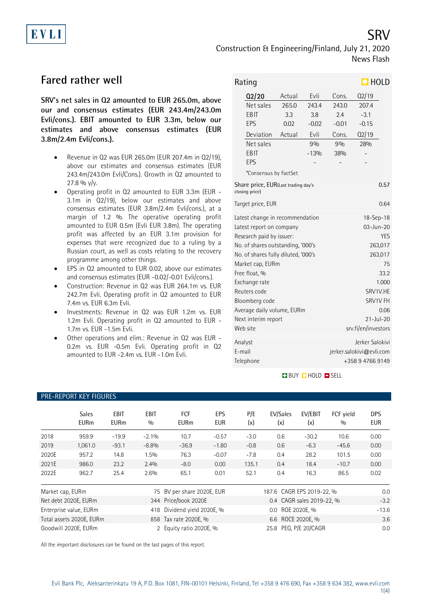## EVLI

Construction & Engineering/Finland, July 21, 2020

SRV

### **Fared rather well**

PRE-REPORT KEY FIGURES

**SRV's net sales in Q2 amounted to EUR 265.0m, above our and consensus estimates (EUR 243.4m/243.0m Evli/cons.). EBIT amounted to EUR 3.3m, below our estimates and above consensus estimates (EUR 3.8m/2.4m Evli/cons.).**

- Revenue in Q2 was EUR 265.0m (EUR 207.4m in Q2/19), above our estimates and consensus estimates (EUR 243.4m/243.0m Evli/Cons.). Growth in Q2 amounted to  $27.8 \%$  y/y.
- Operating profit in Q2 amounted to EUR 3.3m (EUR 3.1m in Q2/19), below our estimates and above consensus estimates (EUR 3.8m/2.4m Evli/cons.), at a margin of 1.2 %. The operative operating profit amounted to EUR 0.5m (Evli EUR 3.8m). The operating profit was affected by an EUR 3.1m provision for expenses that were recognized due to a ruling by a Russian court, as well as costs relating to the recovery programme among other things.
- EPS in Q2 amounted to EUR 0.02, above our estimates and consensus estimates (EUR -0.02/-0.01 Evli/cons.).
- Construction: Revenue in Q2 was EUR 264.1m vs. EUR 242.7m Evli. Operating profit in Q2 amounted to EUR 7.4m vs. EUR 6.3m Evli.
- Investments: Revenue in Q2 was EUR 1.2m vs. EUR 1.2m Evli. Operating profit in Q2 amounted to EUR - 1.7m vs. EUR -1.5m Evli.
- Other operations and elim.: Revenue in Q2 was EUR 0.2m vs. EUR -0.5m Evli. Operating profit in Q2 amounted to EUR -2.4m vs. EUR -1.0m Evli.

|                                                                                                                                                                                                                                           | Rating                                            |                     |         |                                                                                               | $\Box$ HOLD |  |  |
|-------------------------------------------------------------------------------------------------------------------------------------------------------------------------------------------------------------------------------------------|---------------------------------------------------|---------------------|---------|-----------------------------------------------------------------------------------------------|-------------|--|--|
|                                                                                                                                                                                                                                           | Q2/20                                             | Actual              | Evli    | Cons.                                                                                         | Q2/19       |  |  |
|                                                                                                                                                                                                                                           | Net sales                                         | 265.0               | 243.4   | 243.0                                                                                         | 207.4       |  |  |
|                                                                                                                                                                                                                                           | EBIT                                              | 3.3                 | 3.8     | 2.4                                                                                           | $-3.1$      |  |  |
|                                                                                                                                                                                                                                           | EPS                                               | 0.02                | $-0.02$ | $-0.01$                                                                                       | $-0.15$     |  |  |
|                                                                                                                                                                                                                                           | Deviation                                         | Actual              | Evli    | Cons.                                                                                         | 02/19       |  |  |
|                                                                                                                                                                                                                                           | Net sales                                         |                     | 9%      | 9%                                                                                            | 28%         |  |  |
|                                                                                                                                                                                                                                           | EBIT                                              |                     | $-13%$  | 38%                                                                                           |             |  |  |
|                                                                                                                                                                                                                                           | EPS                                               |                     |         |                                                                                               |             |  |  |
|                                                                                                                                                                                                                                           | *Consensus by FactSet                             |                     |         |                                                                                               |             |  |  |
| Share price, EUR(Last trading day's<br>0.57<br>closing price)                                                                                                                                                                             |                                                   |                     |         |                                                                                               |             |  |  |
| Target price, EUR<br>0.64                                                                                                                                                                                                                 |                                                   |                     |         |                                                                                               |             |  |  |
| Latest change in recommendation<br>Latest report on company<br>Research paid by issuer:<br>No. of shares outstanding, '000's<br>No. of shares fully diluted, '000's<br>Market cap, EURm<br>Free float, %<br>Exchange rate<br>Reuters code |                                                   |                     |         | 18-Sep-18<br>03-Jun-20<br><b>YES</b><br>263,017<br>263,017<br>75<br>33.2<br>1.000<br>SRV1V.HE |             |  |  |
|                                                                                                                                                                                                                                           | Bloomberg code                                    | SRV1V FH            |         |                                                                                               |             |  |  |
|                                                                                                                                                                                                                                           | Average daily volume, EURm<br>Next interim report |                     |         | 0.06<br>$21 -  u  - 20$                                                                       |             |  |  |
|                                                                                                                                                                                                                                           | Web site                                          | srv.fi/en/investors |         |                                                                                               |             |  |  |
|                                                                                                                                                                                                                                           | Analyst<br>E-mail<br>Telephone                    |                     |         | Jerker Salokivi<br>jerker.salokivi@evli.com<br>+358947669149                                  |             |  |  |

### **BUY DHOLD BSELL**

|                                                                           | <b>Sales</b><br><b>EURm</b>                                                    | EBIT<br><b>EURm</b> | EBIT<br>0/0         | <b>FCF</b><br><b>EURm</b> | EPS<br><b>EUR</b> | P/E<br>(x) | EV/Sales<br>(x)       | EV/EBIT<br>(x) | FCF vield<br>0/0 | <b>DPS</b><br><b>EUR</b> |
|---------------------------------------------------------------------------|--------------------------------------------------------------------------------|---------------------|---------------------|---------------------------|-------------------|------------|-----------------------|----------------|------------------|--------------------------|
| 2018                                                                      | 959.9                                                                          | $-19.9$             | $-2.1\%$            | 10.7                      | $-0.57$           | $-3.0$     | 0.6                   | $-30.2$        | 10.6             | 0.00                     |
| 2019                                                                      | 1,061.0                                                                        | $-93.1$             | $-8.8%$             | $-36.9$                   | $-1.80$           | $-0.8$     | 0.6                   | $-6.3$         | $-45.6$          | 0.00                     |
| 2020E                                                                     | 957.2                                                                          | 14.8                | 1.5%                | 76.3                      | $-0.07$           | $-7.8$     | 0.4                   | 28.2           | 101.5            | 0.00                     |
| 2021E                                                                     | 986.0                                                                          | 23.2                | 2.4%                | $-8.0$                    | 0.00              | 135.1      | 0.4                   | 18.4           | $-10.7$          | 0.00                     |
| 2022E                                                                     | 962.7                                                                          | 25.4                | 2.6%                | 65.1                      | 0.01              | 52.1       | 0.4                   | 16.3           | 86.5             | 0.02                     |
|                                                                           | BV per share 2020E, EUR<br>187.6 CAGR EPS 2019-22, %<br>Market cap, EURm<br>75 |                     |                     |                           | 0.0               |            |                       |                |                  |                          |
| 344 Price/book 2020E<br>Net debt 2020E, EURm<br>0.4 CAGR sales 2019-22, % |                                                                                |                     |                     |                           | $-3.2$            |            |                       |                |                  |                          |
| Dividend yield 2020E, %<br>Enterprise value, EURm<br>418                  |                                                                                |                     | ROE 2020E, %<br>0.0 |                           |                   |            | $-13.6$               |                |                  |                          |
| Total assets 2020E, EURm                                                  |                                                                                |                     |                     | 858 Tax rate 2020E, %     |                   |            | 6.6 ROCE 2020E, %     |                | 3.6              |                          |
| Goodwill 2020E, EURm<br>$\overline{2}$                                    |                                                                                |                     |                     | Equity ratio 2020E, %     |                   |            | 25.8 PEG, P/E 20/CAGR |                |                  | 0.0                      |

All the important disclosures can be found on the last pages of this report.

# News Flash

1(4)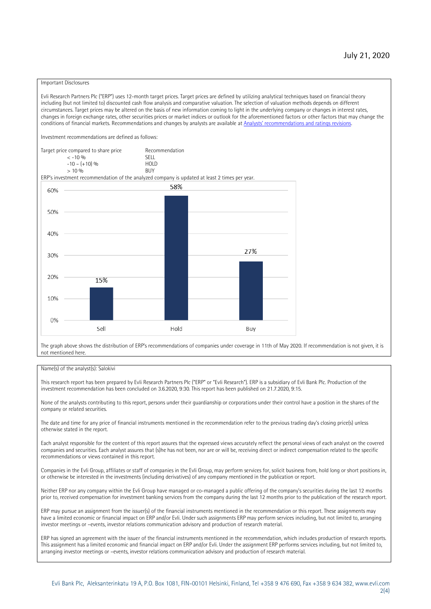#### Important Disclosures

Evli Research Partners Plc ("ERP") uses 12-month target prices. Target prices are defined by utilizing analytical techniques based on financial theory including (but not limited to) discounted cash flow analysis and comparative valuation. The selection of valuation methods depends on different circumstances. Target prices may be altered on the basis of new information coming to light in the underlying company or changes in interest rates, changes in foreign exchange rates, other securities prices or market indices or outlook for the aforementioned factors or other factors that may change the conditions of financial markets. Recommendations and changes by analysts are available at Analysts' r[ecommendations and ratings revisions.](https://research.evli.com/JasperAllModels.action?authParam=key;461&authParam=x;G3rNagWrtf7K&authType=3) Investment recommendations are defined as follows: Target price compared to share price Recommendation<br> $\epsilon$  -10 %  $\langle 5, 10, 10 \rangle$  SELL<br>  $\langle -10, 6, 10 \rangle$  SELL<br>  $\langle 10, 10, 10 \rangle$  $-10 - (+10) \%$  HOLD<br>> 10 % BUY  $> 10\%$ ERP's investment recommendation of the analyzed company is updated at least 2 times per year. 58% 60% 50% 40% 27%  $30%$ 20% 15% 10%  $0%$ Sell Hold Buy

The graph above shows the distribution of ERP's recommendations of companies under coverage in 11th of May 2020. If recommendation is not given, it is not mentioned here.

#### Name(s) of the analyst(s): Salokivi

This research report has been prepared by Evli Research Partners Plc ("ERP" or "Evli Research"). ERP is a subsidiary of Evli Bank Plc. Production of the investment recommendation has been concluded on 3.6.2020, 9:30. This report has been published on 21.7.2020, 9:15.

None of the analysts contributing to this report, persons under their guardianship or corporations under their control have a position in the shares of the company or related securities.

The date and time for any price of financial instruments mentioned in the recommendation refer to the previous trading day's closing price(s) unless otherwise stated in the report.

Each analyst responsible for the content of this report assures that the expressed views accurately reflect the personal views of each analyst on the covered companies and securities. Each analyst assures that (s)he has not been, nor are or will be, receiving direct or indirect compensation related to the specific recommendations or views contained in this report.

Companies in the Evli Group, affiliates or staff of companies in the Evli Group, may perform services for, solicit business from, hold long or short positions in, or otherwise be interested in the investments (including derivatives) of any company mentioned in the publication or report.

Neither ERP nor any company within the Evli Group have managed or co-managed a public offering of the company's securities during the last 12 months prior to, received compensation for investment banking services from the company during the last 12 months prior to the publication of the research report.

ERP may pursue an assignment from the issuer(s) of the financial instruments mentioned in the recommendation or this report. These assignments may have a limited economic or financial impact on ERP and/or Evli. Under such assignments ERP may perform services including, but not limited to, arranging investor meetings or –events, investor relations communication advisory and production of research material.

ERP has signed an agreement with the issuer of the financial instruments mentioned in the recommendation, which includes production of research reports. This assignment has a limited economic and financial impact on ERP and/or Evli. Under the assignment ERP performs services including, but not limited to, arranging investor meetings or –events, investor relations communication advisory and production of research material.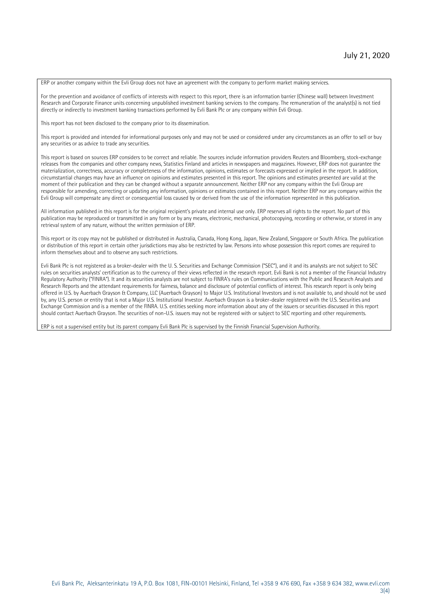ERP or another company within the Evli Group does not have an agreement with the company to perform market making services.

For the prevention and avoidance of conflicts of interests with respect to this report, there is an information barrier (Chinese wall) between Investment Research and Corporate Finance units concerning unpublished investment banking services to the company. The remuneration of the analyst(s) is not tied directly or indirectly to investment banking transactions performed by Evli Bank Plc or any company within Evli Group.

This report has not been disclosed to the company prior to its dissemination.

This report is provided and intended for informational purposes only and may not be used or considered under any circumstances as an offer to sell or buy any securities or as advice to trade any securities.

This report is based on sources ERP considers to be correct and reliable. The sources include information providers Reuters and Bloomberg, stock-exchange releases from the companies and other company news, Statistics Finland and articles in newspapers and magazines. However, ERP does not guarantee the materialization, correctness, accuracy or completeness of the information, opinions, estimates or forecasts expressed or implied in the report. In addition, circumstantial changes may have an influence on opinions and estimates presented in this report. The opinions and estimates presented are valid at the moment of their publication and they can be changed without a separate announcement. Neither ERP nor any company within the Evli Group are responsible for amending, correcting or updating any information, opinions or estimates contained in this report. Neither ERP nor any company within the Evli Group will compensate any direct or consequential loss caused by or derived from the use of the information represented in this publication.

All information published in this report is for the original recipient's private and internal use only. ERP reserves all rights to the report. No part of this publication may be reproduced or transmitted in any form or by any means, electronic, mechanical, photocopying, recording or otherwise, or stored in any retrieval system of any nature, without the written permission of ERP.

This report or its copy may not be published or distributed in Australia, Canada, Hong Kong, Japan, New Zealand, Singapore or South Africa. The publication or distribution of this report in certain other jurisdictions may also be restricted by law. Persons into whose possession this report comes are required to inform themselves about and to observe any such restrictions.

Evli Bank Plc is not registered as a broker-dealer with the U. S. Securities and Exchange Commission ("SEC"), and it and its analysts are not subject to SEC rules on securities analysts' certification as to the currency of their views reflected in the research report. Evli Bank is not a member of the Financial Industry Regulatory Authority ("FINRA"). It and its securities analysts are not subject to FINRA's rules on Communications with the Public and Research Analysts and Research Reports and the attendant requirements for fairness, balance and disclosure of potential conflicts of interest. This research report is only being offered in U.S. by Auerbach Grayson & Company, LLC (Auerbach Grayson) to Major U.S. Institutional Investors and is not available to, and should not be used by, any U.S. person or entity that is not a Major U.S. Institutional Investor. Auerbach Grayson is a broker-dealer registered with the U.S. Securities and Exchange Commission and is a member of the FINRA. U.S. entities seeking more information about any of the issuers or securities discussed in this report should contact Auerbach Grayson. The securities of non-U.S. issuers may not be registered with or subject to SEC reporting and other requirements.

ERP is not a supervised entity but its parent company Evli Bank Plc is supervised by the Finnish Financial Supervision Authority.